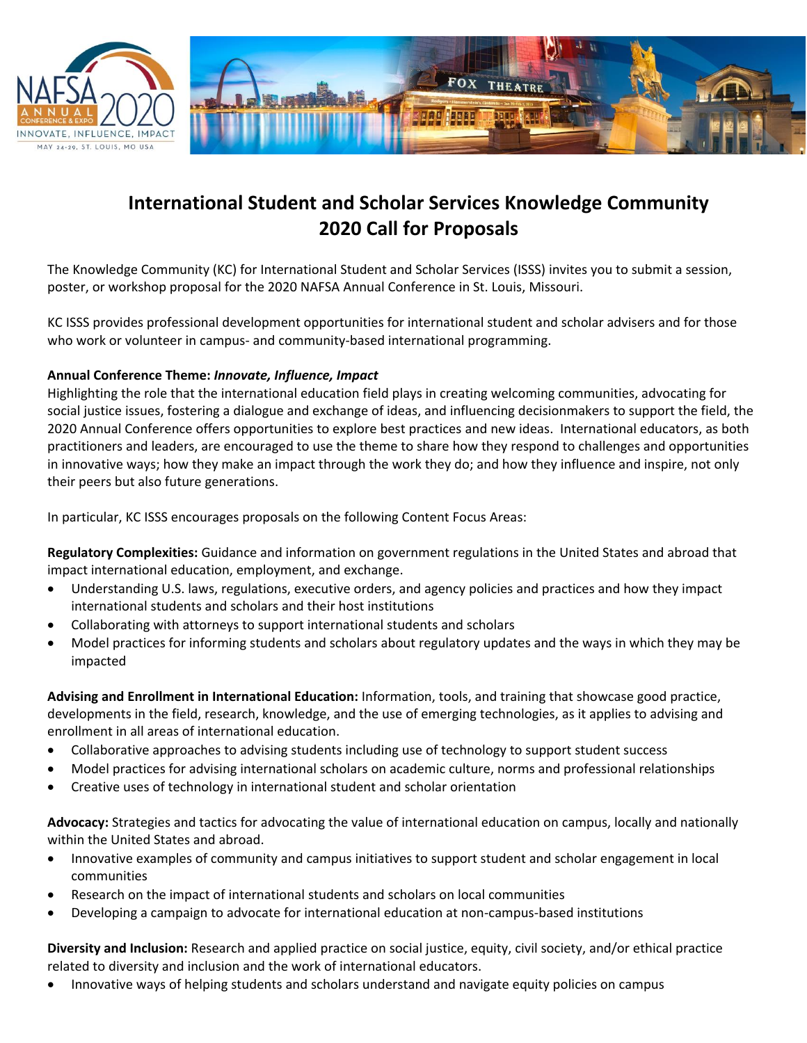



## **International Student and Scholar Services Knowledge Community 2020 Call for Proposals**

The Knowledge Community (KC) for International Student and Scholar Services (ISSS) invites you to submit a session, poster, or workshop proposal for the 2020 NAFSA Annual Conference in St. Louis, Missouri.

KC ISSS provides professional development opportunities for international student and scholar advisers and for those who work or volunteer in campus- and community-based international programming.

## **Annual Conference Theme:** *Innovate, Influence, Impact*

Highlighting the role that the international education field plays in creating welcoming communities, advocating for social justice issues, fostering a dialogue and exchange of ideas, and influencing decisionmakers to support the field, the 2020 Annual Conference offers opportunities to explore best practices and new ideas. International educators, as both practitioners and leaders, are encouraged to use the theme to share how they respond to challenges and opportunities in innovative ways; how they make an impact through the work they do; and how they influence and inspire, not only their peers but also future generations.

In particular, KC ISSS encourages proposals on the following Content Focus Areas:

**Regulatory Complexities:** Guidance and information on government regulations in the United States and abroad that impact international education, employment, and exchange.

- Understanding U.S. laws, regulations, executive orders, and agency policies and practices and how they impact international students and scholars and their host institutions
- Collaborating with attorneys to support international students and scholars
- Model practices for informing students and scholars about regulatory updates and the ways in which they may be impacted

**Advising and Enrollment in International Education:** Information, tools, and training that showcase good practice, developments in the field, research, knowledge, and the use of emerging technologies, as it applies to advising and enrollment in all areas of international education.

- Collaborative approaches to advising students including use of technology to support student success
- Model practices for advising international scholars on academic culture, norms and professional relationships
- Creative uses of technology in international student and scholar orientation

**Advocacy:** Strategies and tactics for advocating the value of international education on campus, locally and nationally within the United States and abroad.

- Innovative examples of community and campus initiatives to support student and scholar engagement in local communities
- Research on the impact of international students and scholars on local communities
- Developing a campaign to advocate for international education at non-campus-based institutions

**Diversity and Inclusion:** Research and applied practice on social justice, equity, civil society, and/or ethical practice related to diversity and inclusion and the work of international educators.

• Innovative ways of helping students and scholars understand and navigate equity policies on campus